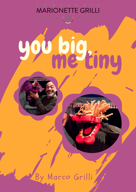

# me tiny you big,



### By Marco Grilli